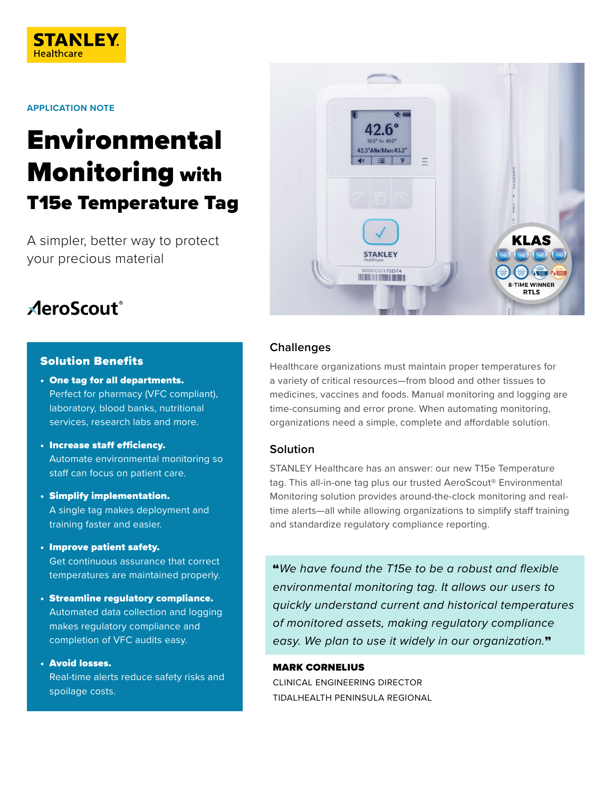

#### **APPLICATION NOTE**

# Environmental Monitoring with T15e Temperature Tag

A simpler, better way to protect your precious material

# **AeroScout**®

#### Solution Benefits

- One tag for all departments. Perfect for pharmacy (VFC compliant), laboratory, blood banks, nutritional services, research labs and more.
- Increase staff efficiency. Automate environmental monitoring so staff can focus on patient care.
- Simplify implementation. A single tag makes deployment and training faster and easier.
- Improve patient safety. Get continuous assurance that correct temperatures are maintained properly.
- Streamline regulatory compliance. Automated data collection and logging makes regulatory compliance and completion of VFC audits easy.
- Avoid losses. Real-time alerts reduce safety risks and spoilage costs.



#### **Challenges**

Healthcare organizations must maintain proper temperatures for a variety of critical resources—from blood and other tissues to medicines, vaccines and foods. Manual monitoring and logging are time-consuming and error prone. When automating monitoring, organizations need a simple, complete and affordable solution.

#### **Solution**

STANLEY Healthcare has an answer: our new T15e Temperature tag. This all-in-one tag plus our trusted AeroScout® Environmental Monitoring solution provides around-the-clock monitoring and realtime alerts—all while allowing organizations to simplify staff training and standardize regulatory compliance reporting.

"*We have found the T15e to be a robust and flexible environmental monitoring tag. It allows our users to quickly understand current and historical temperatures of monitored assets, making regulatory compliance easy. We plan to use it widely in our organization.*"

#### MARK CORNELIUS

CLINICAL ENGINEERING DIRECTOR TIDALHEALTH PENINSULA REGIONAL